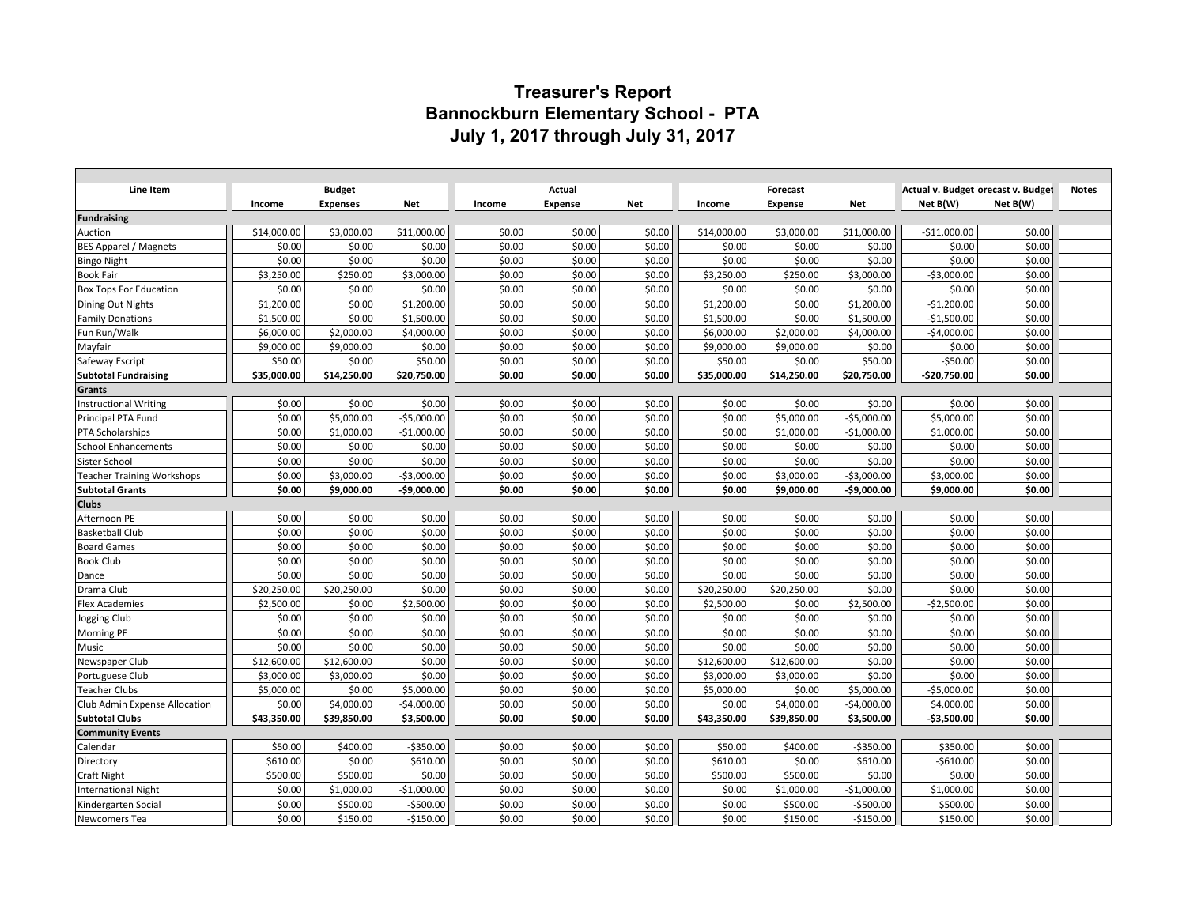## **Treasurer's Report Bannockburn Elementary School - PTA July 1, 2017 through July 31, 2017**

|                                   |             |                 |              |        |                |        |             |                |              | Actual v. Budget orecast v. Budget |          | <b>Notes</b> |
|-----------------------------------|-------------|-----------------|--------------|--------|----------------|--------|-------------|----------------|--------------|------------------------------------|----------|--------------|
| Line Item                         |             | <b>Budget</b>   |              |        | Actual         |        |             | Forecast       |              |                                    |          |              |
|                                   | Income      | <b>Expenses</b> | Net          | Income | <b>Expense</b> | Net    | Income      | <b>Expense</b> | <b>Net</b>   | Net B(W)                           | Net B(W) |              |
| <b>Fundraising</b><br>Auction     | \$14,000.00 | \$3,000.00      | \$11,000.00  | \$0.00 | \$0.00         | \$0.00 | \$14,000.00 | \$3,000.00     | \$11,000.00  | $-$11,000.00$                      | \$0.00   |              |
| <b>BES Apparel / Magnets</b>      | \$0.00      | \$0.00          | \$0.00       | \$0.00 | \$0.00         | \$0.00 | \$0.00      | \$0.00         | \$0.00       | \$0.00                             | \$0.00   |              |
| <b>Bingo Night</b>                | \$0.00      | \$0.00          | \$0.00       | \$0.00 | \$0.00         | \$0.00 | \$0.00      | \$0.00         | \$0.00       | \$0.00                             | \$0.00   |              |
| <b>Book Fair</b>                  | \$3,250.00  | \$250.00        | \$3,000.00   | \$0.00 | \$0.00         | \$0.00 | \$3,250.00  | \$250.00       | \$3,000.00   | $-53,000.00$                       | \$0.00   |              |
| <b>Box Tops For Education</b>     | \$0.00      | \$0.00          | \$0.00       | \$0.00 | \$0.00         | \$0.00 | \$0.00      | \$0.00         | \$0.00       | \$0.00                             | \$0.00   |              |
| Dining Out Nights                 | \$1,200.00  | \$0.00          | \$1,200.00   | \$0.00 | \$0.00         | \$0.00 | \$1,200.00  | \$0.00         | \$1,200.00   | $-$1,200.00$                       | \$0.00   |              |
| <b>Family Donations</b>           | \$1,500.00  | \$0.00          | \$1,500.00   | \$0.00 | \$0.00         | \$0.00 | \$1,500.00  | \$0.00         | \$1,500.00   | $-$1,500.00$                       | \$0.00   |              |
| Fun Run/Walk                      | \$6,000.00  | \$2,000.00      | \$4,000.00   | \$0.00 | \$0.00         | \$0.00 | \$6,000.00  | \$2,000.00     | \$4,000.00   | $-$4,000.00$                       | \$0.00   |              |
| Mayfair                           | \$9,000.00  | \$9,000.00      | \$0.00       | \$0.00 | \$0.00         | \$0.00 | \$9,000.00  | \$9,000.00     | \$0.00       | \$0.00                             | \$0.00   |              |
| Safeway Escript                   | \$50.00     | \$0.00          | \$50.00      | \$0.00 | \$0.00         | \$0.00 | \$50.00     | \$0.00         | \$50.00      | $-$50.00$                          | \$0.00   |              |
| <b>Subtotal Fundraising</b>       | \$35,000.00 | \$14,250.00     | \$20,750.00  | \$0.00 | \$0.00         | \$0.00 | \$35,000.00 | \$14,250.00    | \$20,750.00  | -\$20,750.00                       | \$0.00   |              |
| Grants                            |             |                 |              |        |                |        |             |                |              |                                    |          |              |
| <b>Instructional Writing</b>      | \$0.00      | \$0.00          | \$0.00       | \$0.00 | \$0.00         | \$0.00 | \$0.00      | \$0.00         | \$0.00       | \$0.00                             | \$0.00   |              |
| Principal PTA Fund                | \$0.00      | \$5,000.00      | $-$5,000.00$ | \$0.00 | \$0.00         | \$0.00 | \$0.00      | \$5,000.00     | $-$5,000.00$ | \$5,000.00                         | \$0.00   |              |
| <b>PTA Scholarships</b>           | \$0.00      | \$1,000.00      | $-$1,000.00$ | \$0.00 | \$0.00         | \$0.00 | \$0.00      | \$1,000.00     | $-$1,000.00$ | \$1,000.00                         | \$0.00   |              |
| <b>School Enhancements</b>        | \$0.00      | \$0.00          | \$0.00       | \$0.00 | \$0.00         | \$0.00 | \$0.00      | \$0.00         | \$0.00       | \$0.00                             | \$0.00   |              |
| Sister School                     | \$0.00      | \$0.00          | \$0.00       | \$0.00 | \$0.00         | \$0.00 | \$0.00      | \$0.00         | \$0.00       | \$0.00                             | \$0.00   |              |
| <b>Teacher Training Workshops</b> | \$0.00      | \$3,000.00      | $-$3,000.00$ | \$0.00 | \$0.00         | \$0.00 | \$0.00      | \$3,000.00     | $-53,000.00$ | \$3,000.00                         | \$0.00   |              |
| <b>Subtotal Grants</b>            | \$0.00      | \$9,000.00      | -\$9,000.00  | \$0.00 | \$0.00         | \$0.00 | \$0.00      | \$9,000.00     | $-$9,000.00$ | \$9,000.00                         | \$0.00   |              |
| <b>Clubs</b>                      |             |                 |              |        |                |        |             |                |              |                                    |          |              |
| Afternoon PE                      | \$0.00      | \$0.00          | \$0.00       | \$0.00 | \$0.00         | \$0.00 | \$0.00      | \$0.00         | \$0.00       | \$0.00                             | \$0.00   |              |
| <b>Basketball Club</b>            | \$0.00      | \$0.00          | \$0.00       | \$0.00 | \$0.00         | \$0.00 | \$0.00      | \$0.00         | \$0.00       | \$0.00                             | \$0.00   |              |
| <b>Board Games</b>                | \$0.00      | \$0.00          | \$0.00       | \$0.00 | \$0.00         | \$0.00 | \$0.00      | \$0.00         | \$0.00       | \$0.00                             | \$0.00   |              |
| <b>Book Club</b>                  | \$0.00      | \$0.00          | \$0.00       | \$0.00 | \$0.00         | \$0.00 | \$0.00      | \$0.00         | \$0.00       | \$0.00                             | \$0.00   |              |
| Dance                             | \$0.00      | \$0.00          | \$0.00       | \$0.00 | \$0.00         | \$0.00 | \$0.00      | \$0.00         | \$0.00       | \$0.00                             | \$0.00   |              |
| Drama Club                        | \$20,250.00 | \$20,250.00     | \$0.00       | \$0.00 | \$0.00         | \$0.00 | \$20,250.00 | \$20,250.00    | \$0.00       | \$0.00                             | \$0.00   |              |
| <b>Flex Academies</b>             | \$2,500.00  | \$0.00          | \$2,500.00   | \$0.00 | \$0.00         | \$0.00 | \$2,500.00  | \$0.00         | \$2,500.00   | $-$2,500.00$                       | \$0.00   |              |
| Jogging Club                      | \$0.00      | \$0.00          | \$0.00       | \$0.00 | \$0.00         | \$0.00 | \$0.00      | \$0.00         | \$0.00       | \$0.00                             | \$0.00   |              |
| Morning PE                        | \$0.00      | \$0.00          | \$0.00       | \$0.00 | \$0.00         | \$0.00 | \$0.00      | \$0.00         | \$0.00       | \$0.00                             | \$0.00   |              |
| Music                             | \$0.00      | \$0.00          | \$0.00       | \$0.00 | \$0.00         | \$0.00 | \$0.00      | \$0.00         | \$0.00       | \$0.00                             | \$0.00   |              |
| Newspaper Club                    | \$12,600.00 | \$12,600.00     | \$0.00       | \$0.00 | \$0.00         | \$0.00 | \$12,600.00 | \$12,600.00    | \$0.00       | \$0.00                             | \$0.00   |              |
| Portuguese Club                   | \$3,000.00  | \$3,000.00      | \$0.00       | \$0.00 | \$0.00         | \$0.00 | \$3,000.00  | \$3,000.00     | \$0.00       | \$0.00                             | \$0.00   |              |
| <b>Teacher Clubs</b>              | \$5,000.00  | \$0.00          | \$5,000.00   | \$0.00 | \$0.00         | \$0.00 | \$5,000.00  | \$0.00         | \$5,000.00   | $-$5,000.00$                       | \$0.00   |              |
| Club Admin Expense Allocation     | \$0.00      | \$4,000.00      | $-$4,000.00$ | \$0.00 | \$0.00         | \$0.00 | \$0.00      | \$4,000.00     | $-$4,000.00$ | \$4,000.00                         | \$0.00   |              |
| <b>Subtotal Clubs</b>             | \$43,350.00 | \$39,850.00     | \$3,500.00   | \$0.00 | \$0.00         | \$0.00 | \$43,350.00 | \$39,850.00    | \$3,500.00   | $-$3,500.00$                       | \$0.00   |              |
| <b>Community Events</b>           |             |                 |              |        |                |        |             |                |              |                                    |          |              |
| Calendar                          | \$50.00     | \$400.00        | $-$350.00$   | \$0.00 | \$0.00         | \$0.00 | \$50.00     | \$400.00       | $-$350.00$   | \$350.00                           | \$0.00   |              |
| Directory                         | \$610.00    | \$0.00          | \$610.00     | \$0.00 | \$0.00         | \$0.00 | \$610.00    | \$0.00         | \$610.00     | $-$610.00$                         | \$0.00   |              |
| <b>Craft Night</b>                | \$500.00    | \$500.00        | \$0.00       | \$0.00 | \$0.00         | \$0.00 | \$500.00    | \$500.00       | \$0.00       | \$0.00                             | \$0.00   |              |
| <b>International Night</b>        | \$0.00      | \$1,000.00      | $-$1,000.00$ | \$0.00 | \$0.00         | \$0.00 | \$0.00      | \$1,000.00     | $-$1,000.00$ | \$1,000.00                         | \$0.00   |              |
| Kindergarten Social               | \$0.00      | \$500.00        | $-$500.00$   | \$0.00 | \$0.00         | \$0.00 | \$0.00      | \$500.00       | $-$500.00$   | \$500.00                           | \$0.00   |              |
| Newcomers Tea                     | \$0.00      | \$150.00        | $-$150.00$   | \$0.00 | \$0.00         | \$0.00 | \$0.00      | \$150.00       | $-$150.00$   | \$150.00                           | \$0.00   |              |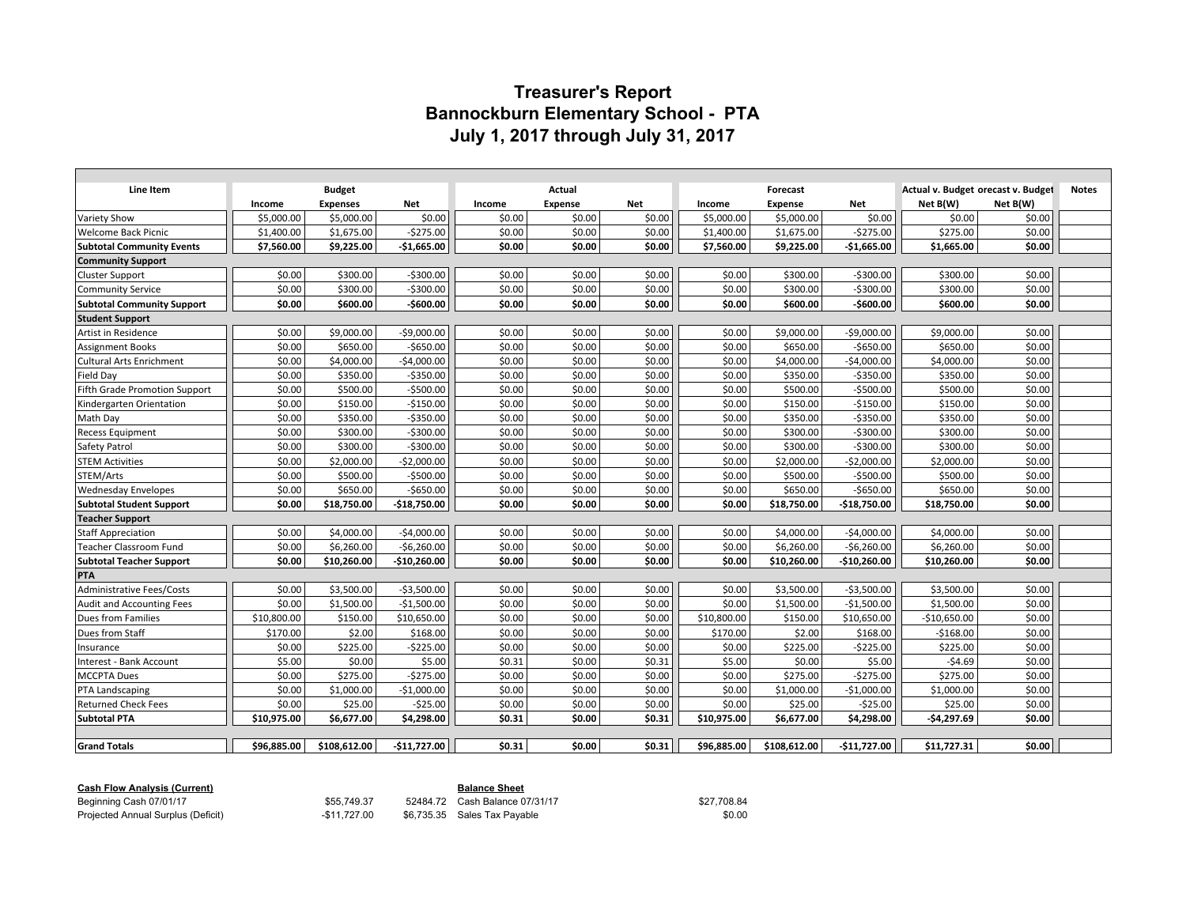## **Treasurer's Report Bannockburn Elementary School - PTA July 1, 2017 through July 31, 2017**

| Line Item                         | <b>Budget</b> |                 |               | Actual |                |            |             | Forecast       |               | Actual v. Budget orecast v. Budget | <b>Notes</b> |  |
|-----------------------------------|---------------|-----------------|---------------|--------|----------------|------------|-------------|----------------|---------------|------------------------------------|--------------|--|
|                                   | Income        | <b>Expenses</b> | <b>Net</b>    | Income | <b>Expense</b> | <b>Net</b> | Income      | <b>Expense</b> | Net           | Net B(W)                           | Net B(W)     |  |
| Variety Show                      | \$5,000.00    | \$5,000.00      | \$0.00        | \$0.00 | \$0.00         | \$0.00     | \$5,000.00  | \$5,000.00     | \$0.00        | \$0.00                             | \$0.00       |  |
| <b>Welcome Back Picnic</b>        | \$1,400.00    | \$1,675.00      | $-5275.00$    | \$0.00 | \$0.00         | \$0.00     | \$1,400.00  | \$1,675.00     | $-5275.00$    | \$275.00                           | \$0.00       |  |
| <b>Subtotal Community Events</b>  | \$7,560.00    | \$9,225.00      | $-$1,665.00$  | \$0.00 | \$0.00         | \$0.00     | \$7,560.00  | \$9,225.00     | $-$1,665.00$  | \$1,665.00                         | \$0.00       |  |
| <b>Community Support</b>          |               |                 |               |        |                |            |             |                |               |                                    |              |  |
| <b>Cluster Support</b>            | \$0.00        | \$300.00        | $-5300.00$    | \$0.00 | \$0.00         | \$0.00     | \$0.00      | \$300.00       | $-5300.00$    | \$300.00                           | \$0.00       |  |
| <b>Community Service</b>          | \$0.00        | \$300.00        | $-5300.00$    | \$0.00 | \$0.00         | \$0.00     | \$0.00      | \$300.00       | $-5300.00$    | \$300.00                           | \$0.00       |  |
| <b>Subtotal Community Support</b> | \$0.00        | \$600.00        | -\$600.00     | \$0.00 | \$0.00         | \$0.00     | \$0.00      | \$600.00       | $-$600.00$    | \$600.00                           | \$0.00       |  |
| <b>Student Support</b>            |               |                 |               |        |                |            |             |                |               |                                    |              |  |
| Artist in Residence               | \$0.00        | \$9,000.00      | $-$9,000.00$  | \$0.00 | \$0.00         | \$0.00     | \$0.00      | \$9,000.00     | $-$9,000.00$  | \$9,000.00                         | \$0.00       |  |
| <b>Assignment Books</b>           | \$0.00        | \$650.00        | $-5650.00$    | \$0.00 | \$0.00         | \$0.00     | \$0.00      | \$650.00       | $-$650.00$    | \$650.00                           | \$0.00       |  |
| <b>Cultural Arts Enrichment</b>   | \$0.00        | \$4,000.00      | $-$4,000.00$  | \$0.00 | \$0.00         | \$0.00     | \$0.00      | \$4,000.00     | $-$4,000.00$  | \$4,000.00                         | \$0.00       |  |
| Field Day                         | \$0.00        | \$350.00        | $-$ \$350.00  | \$0.00 | \$0.00         | \$0.00     | \$0.00      | \$350.00       | $-5350.00$    | \$350.00                           | \$0.00       |  |
| Fifth Grade Promotion Support     | \$0.00        | \$500.00        | $-5500.00$    | \$0.00 | \$0.00         | \$0.00     | \$0.00      | \$500.00       | $-$500.00$    | \$500.00                           | \$0.00       |  |
| Kindergarten Orientation          | \$0.00        | \$150.00        | $-$150.00$    | \$0.00 | \$0.00         | \$0.00     | \$0.00      | \$150.00       | $-$150.00$    | \$150.00                           | \$0.00       |  |
| Math Day                          | \$0.00        | \$350.00        | $-$350.00$    | \$0.00 | \$0.00         | \$0.00     | \$0.00      | \$350.00       | $-$350.00$    | \$350.00                           | \$0.00       |  |
| <b>Recess Equipment</b>           | \$0.00        | \$300.00        | $-5300.00$    | \$0.00 | \$0.00         | \$0.00     | \$0.00      | \$300.00       | $-5300.00$    | \$300.00                           | \$0.00       |  |
| <b>Safety Patrol</b>              | \$0.00        | \$300.00        | $-$300.00$    | \$0.00 | \$0.00         | \$0.00     | \$0.00      | \$300.00       | $-5300.00$    | \$300.00                           | \$0.00       |  |
| <b>STEM Activities</b>            | \$0.00        | \$2,000.00      | $-$2,000.00$  | \$0.00 | \$0.00         | \$0.00     | \$0.00      | \$2,000.00     | $-$2,000.00$  | \$2,000.00                         | \$0.00       |  |
| STEM/Arts                         | \$0.00        | \$500.00        | $-$500.00$    | \$0.00 | \$0.00         | \$0.00     | \$0.00      | \$500.00       | $-5500.00$    | \$500.00                           | \$0.00       |  |
| <b>Wednesday Envelopes</b>        | \$0.00        | \$650.00        | $-5650.00$    | \$0.00 | \$0.00         | \$0.00     | \$0.00      | \$650.00       | $-$650.00$    | \$650.00                           | \$0.00       |  |
| <b>Subtotal Student Support</b>   | \$0.00        | \$18,750.00     | $-$18,750.00$ | \$0.00 | \$0.00         | \$0.00     | \$0.00      | \$18,750.00    | $-$18,750.00$ | \$18,750.00                        | \$0.00       |  |
| <b>Teacher Support</b>            |               |                 |               |        |                |            |             |                |               |                                    |              |  |
| <b>Staff Appreciation</b>         | \$0.00        | \$4,000.00      | $-54,000.00$  | \$0.00 | \$0.00         | \$0.00     | \$0.00      | \$4,000.00     | $-$4,000.00$  | \$4,000.00                         | \$0.00       |  |
| <b>Teacher Classroom Fund</b>     | \$0.00        | \$6.260.00      | $-56,260.00$  | \$0.00 | \$0.00         | \$0.00     | \$0.00      | \$6.260.00     | $-56,260.00$  | \$6,260.00                         | \$0.00       |  |
| <b>Subtotal Teacher Support</b>   | \$0.00        | \$10,260.00     | $-$10,260.00$ | \$0.00 | \$0.00         | \$0.00     | \$0.00      | \$10,260.00    | $-$10,260.00$ | \$10,260.00                        | \$0.00       |  |
| <b>PTA</b>                        |               |                 |               |        |                |            |             |                |               |                                    |              |  |
| <b>Administrative Fees/Costs</b>  | \$0.00        | \$3,500.00      | $-53,500.00$  | \$0.00 | \$0.00         | \$0.00     | \$0.00      | \$3,500.00     | $-53,500.00$  | \$3,500.00                         | \$0.00       |  |
| <b>Audit and Accounting Fees</b>  | \$0.00        | \$1,500.00      | $-51,500.00$  | \$0.00 | \$0.00         | \$0.00     | \$0.00      | \$1,500.00     | $-$1,500.00$  | \$1,500.00                         | \$0.00       |  |
| Dues from Families                | \$10,800.00   | \$150.00        | \$10,650.00   | \$0.00 | \$0.00         | \$0.00     | \$10,800.00 | \$150.00       | \$10,650.00   | $-$10,650.00$                      | \$0.00       |  |
| Dues from Staff                   | \$170.00      | \$2.00          | \$168.00      | \$0.00 | \$0.00         | \$0.00     | \$170.00    | \$2.00         | \$168.00      | $-5168.00$                         | \$0.00       |  |
| Insurance                         | \$0.00        | \$225.00        | $-$225.00$    | \$0.00 | \$0.00         | \$0.00     | \$0.00      | \$225.00       | $-$225.00$    | \$225.00                           | \$0.00       |  |
| Interest - Bank Account           | \$5.00        | \$0.00          | \$5.00        | \$0.31 | \$0.00         | \$0.31     | \$5.00      | \$0.00         | \$5.00        | $-54.69$                           | \$0.00       |  |
| <b>MCCPTA Dues</b>                | \$0.00        | \$275.00        | $-5275.00$    | \$0.00 | \$0.00         | \$0.00     | \$0.00      | \$275.00       | $-5275.00$    | \$275.00                           | \$0.00       |  |
| PTA Landscaping                   | \$0.00        | \$1,000.00      | $-$1,000.00$  | \$0.00 | \$0.00         | \$0.00     | \$0.00      | \$1,000.00     | $-$1,000.00$  | \$1,000.00                         | \$0.00       |  |
| <b>Returned Check Fees</b>        | \$0.00        | \$25.00         | $-525.00$     | \$0.00 | \$0.00         | \$0.00     | \$0.00      | \$25.00        | $-$ \$25.00   | \$25.00                            | \$0.00       |  |
| <b>Subtotal PTA</b>               | \$10,975.00   | \$6,677.00      | \$4,298.00    | \$0.31 | \$0.00         | \$0.31     | \$10,975.00 | \$6,677.00     | \$4,298.00    | $-$4,297.69$                       | \$0.00       |  |
|                                   |               |                 |               |        |                |            |             |                |               |                                    |              |  |
| <b>Grand Totals</b>               | \$96.885.00   | \$108,612.00    | $-$11,727.00$ | \$0.31 | \$0.00         | \$0.31     | \$96,885.00 | \$108,612.00   | $-$11,727.00$ | \$11,727.31                        | \$0.00       |  |

|  |  | <b>Cash Flow Analysis (Curren</b> |
|--|--|-----------------------------------|
|  |  |                                   |

Projected Annual Surplus (Deficit)

**Cash Flow Analysis (Current)**<br>
Beginning Cash 07/01/17<br> **Balance 0**<br> **S55,749.37** 52484.72 Cash Balance 0

855,749.37 52484.72 Cash Balance 07/31/17 \$27,708.84 \$27,708.84<br>-\$11,727.00 \$6,735.35 Sales Tax Payable \$0.00